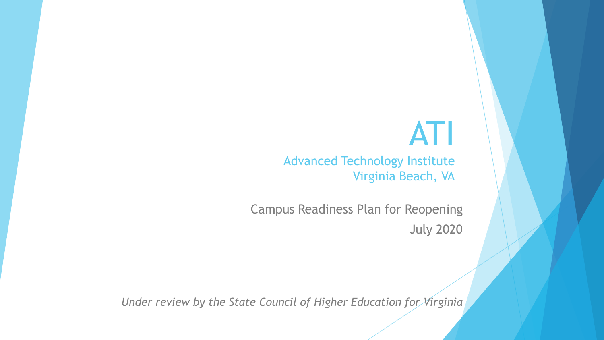# ATI

Advanced Technology Institute Virginia Beach, VA

Campus Readiness Plan for Reopening July 2020

*Under review by the State Council of Higher Education for Virginia*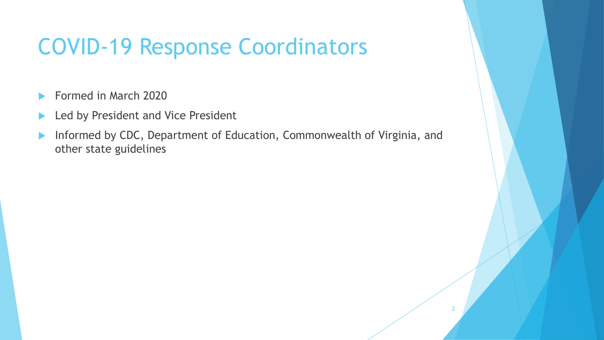### COVID-19 Response Coordinators

- Formed in March 2020
- Led by President and Vice President
- ▶ Informed by CDC, Department of Education, Commonwealth of Virginia, and other state guidelines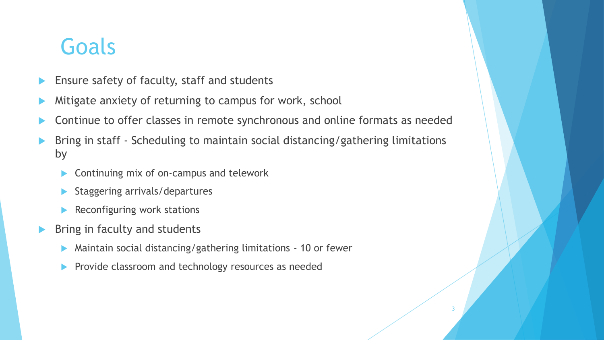### Goals

- Ensure safety of faculty, staff and students
- Mitigate anxiety of returning to campus for work, school
- Continue to offer classes in remote synchronous and online formats as needed
- Bring in staff Scheduling to maintain social distancing/gathering limitations by

- ▶ Continuing mix of on-campus and telework
- Staggering arrivals/departures
- Reconfiguring work stations
- Bring in faculty and students
	- Maintain social distancing/gathering limitations 10 or fewer
	- Provide classroom and technology resources as needed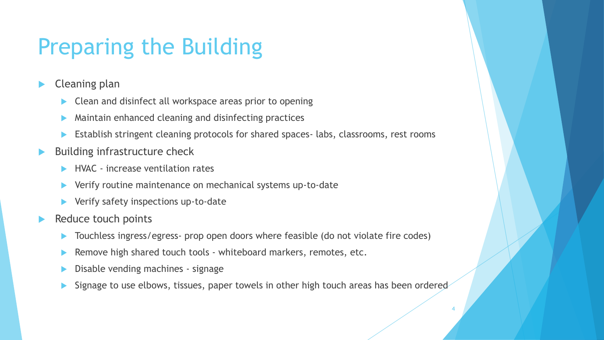### Preparing the Building

- Cleaning plan
	- ▶ Clean and disinfect all workspace areas prior to opening
	- Maintain enhanced cleaning and disinfecting practices
	- Establish stringent cleaning protocols for shared spaces- labs, classrooms, rest rooms
- Building infrastructure check
	- HVAC increase ventilation rates
	- Verify routine maintenance on mechanical systems up-to-date
	- Verify safety inspections up-to-date
- Reduce touch points
	- Touchless ingress/egress- prop open doors where feasible (do not violate fire codes)
	- Remove high shared touch tools whiteboard markers, remotes, etc.
	- Disable vending machines signage
	- Signage to use elbows, tissues, paper towels in other high touch areas has been ordered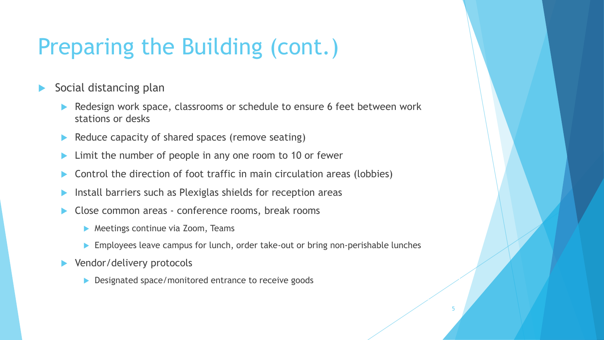### Preparing the Building (cont.)

- Social distancing plan
	- Redesign work space, classrooms or schedule to ensure 6 feet between work stations or desks
	- Reduce capacity of shared spaces (remove seating)
	- Limit the number of people in any one room to 10 or fewer
	- Control the direction of foot traffic in main circulation areas (lobbies)
	- Install barriers such as Plexiglas shields for reception areas
	- Close common areas conference rooms, break rooms
		- **Meetings continue via Zoom, Teams**
		- **Employees leave campus for lunch, order take-out or bring non-perishable lunches**

- Vendor/delivery protocols
	- Designated space/monitored entrance to receive goods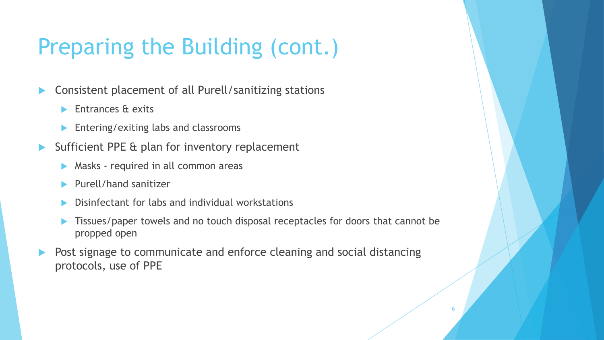## Preparing the Building (cont.)

- Consistent placement of all Purell/sanitizing stations
	- **Entrances & exits**
	- **Entering/exiting labs and classrooms**
- Sufficient PPE & plan for inventory replacement
	- **Masks** required in all common areas
	- Purell/hand sanitizer
	- Disinfectant for labs and individual workstations
	- Tissues/paper towels and no touch disposal receptacles for doors that cannot be propped open

6

 Post signage to communicate and enforce cleaning and social distancing protocols, use of PPE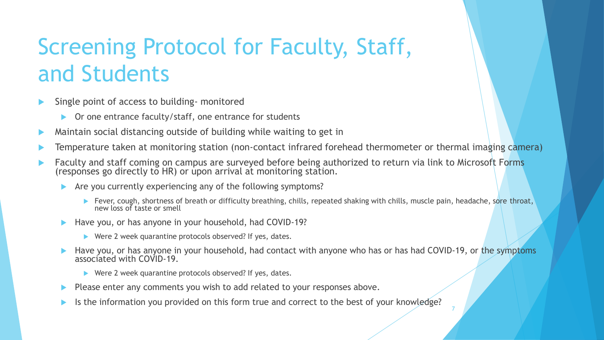# Screening Protocol for Faculty, Staff, and Students

- Single point of access to building- monitored
	- ▶ Or one entrance faculty/staff, one entrance for students
- Maintain social distancing outside of building while waiting to get in
- Temperature taken at monitoring station (non-contact infrared forehead thermometer or thermal imaging camera)
- **Faculty and staff coming on campus are surveyed before being authorized to return via link to Microsoft Forms** (responses go directly to HR) or upon arrival at monitoring station.
	- Are you currently experiencing any of the following symptoms?
		- Fever, cough, shortness of breath or difficulty breathing, chills, repeated shaking with chills, muscle pain, headache, sore throat, new loss of taste or smell
	- Have you, or has anyone in your household, had COVID-19?
		- $\blacktriangleright$  Were 2 week quarantine protocols observed? If yes, dates.
	- Have you, or has anyone in your household, had contact with anyone who has or has had COVID-19, or the symptoms associated with COVID-19.

- $\blacktriangleright$  Were 2 week quarantine protocols observed? If yes, dates.
- Please enter any comments you wish to add related to your responses above.
- Is the information you provided on this form true and correct to the best of your knowledge?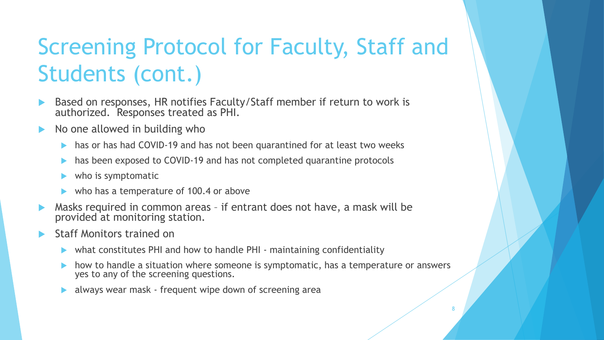# Screening Protocol for Faculty, Staff and Students (cont.)

- Based on responses, HR notifies Faculty/Staff member if return to work is authorized. Responses treated as PHI.
- No one allowed in building who
	- has or has had COVID-19 and has not been quarantined for at least two weeks
	- has been exposed to COVID-19 and has not completed quarantine protocols
	- $\blacktriangleright$  who is symptomatic
	- who has a temperature of 100.4 or above
- Masks required in common areas if entrant does not have, a mask will be provided at monitoring station.
- Staff Monitors trained on
	- $\triangleright$  what constitutes PHI and how to handle PHI maintaining confidentiality
	- how to handle a situation where someone is symptomatic, has a temperature or answers yes to any of the screening questions.

8

always wear mask - frequent wipe down of screening area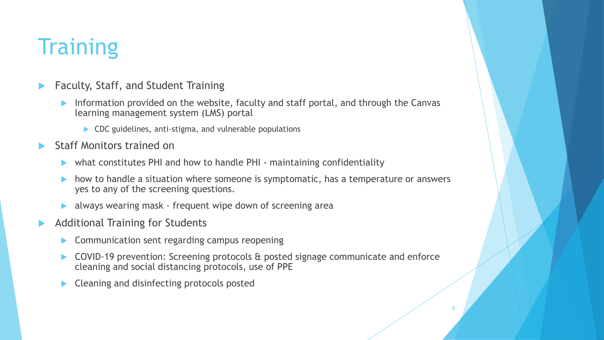## **Training**

- Faculty, Staff, and Student Training
	- Information provided on the website, faculty and staff portal, and through the Canvas learning management system (LMS) portal
		- ▶ CDC guidelines, anti-stigma, and vulnerable populations
- Staff Monitors trained on
	- what constitutes PHI and how to handle PHI maintaining confidentiality
	- how to handle a situation where someone is symptomatic, has a temperature or answers yes to any of the screening questions.
	- always wearing mask frequent wipe down of screening area
- Additional Training for Students
	- Communication sent regarding campus reopening
	- COVID-19 prevention: Screening protocols & posted signage communicate and enforce cleaning and social distancing protocols, use of PPE

9

Cleaning and disinfecting protocols posted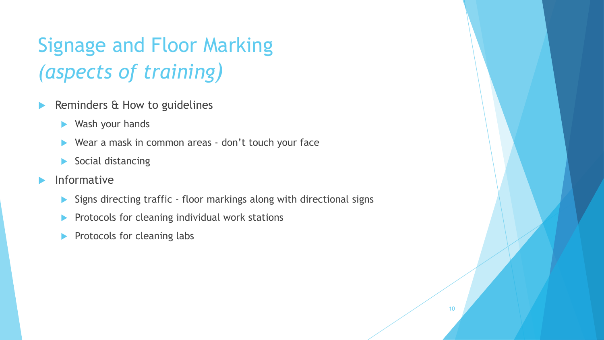### Signage and Floor Marking *(aspects of training)*

- Reminders & How to guidelines
	- Wash your hands
	- ▶ Wear a mask in common areas don't touch your face
	- Social distancing
- $\blacktriangleright$  Informative
	- Signs directing traffic floor markings along with directional signs

- $\blacktriangleright$  Protocols for cleaning individual work stations
- Protocols for cleaning labs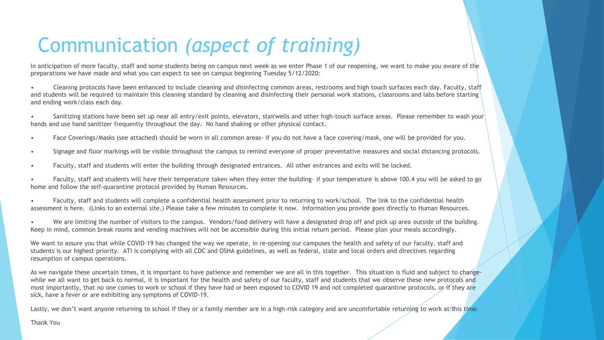### Communication *(aspect of training)*

In anticipation of more faculty, staff and some students being on campus next week as we enter Phase 1 of our reopening, we want to make you aware of the preparations we have made and what you can expect to see on campus beginning Tuesday 5/12/2020:

• Cleaning protocols have been enhanced to include cleaning and disinfecting common areas, restrooms and high touch surfaces each day. Faculty, staff and students will be required to maintain this cleaning standard by cleaning and disinfecting their personal work stations, classrooms and labs before starting and ending work/class each day.

• Sanitizing stations have been set up near all entry/exit points, elevators, stairwells and other high-touch surface areas. Please remember to wash your hands and use hand sanitizer frequently throughout the day. No hand shaking or other physical contact.

- Face Coverings/Masks (see attached) should be worn in all common areas- if you do not have a face covering/mask, one will be provided for you.
- Signage and floor markings will be visible throughout the campus to remind everyone of proper preventative measures and social distancing protocols.
- Faculty, staff and students will enter the building through designated entrances. All other entrances and exits will be locked.

• Faculty, staff and students will have their temperature taken when they enter the building- if your temperature is above 100.4 you will be asked to go home and follow the self-quarantine protocol provided by Human Resources.

• Faculty, staff and students will complete a confidential health assessment prior to returning to work/school. The link to the confidential health assessment is here. (Links to an external site.) Please take a few minutes to complete it now. Information you provide goes directly to Human Resources.

• We are limiting the number of visitors to the campus. Vendors/food delivery will have a designated drop off and pick up area outside of the building. Keep in mind, common break rooms and vending machines will not be accessible during this initial return period. Please plan your meals accordingly.

We want to assure you that while COVID-19 has changed the way we operate, in re-opening our campuses the health and safety of our faculty, staff and students is our highest priority. ATI is complying with all CDC and OSHA guidelines, as well as federal, state and local orders and directives regarding resumption of campus operations.

As we navigate these uncertain times, it is important to have patience and remember we are all in this together. This situation is fluid and subject to changewhile we all want to get back to normal, it is important for the health and safety of our faculty, staff and students that we observe these new protocols and most importantly, that no one comes to work or school if they have had or been exposed to COVID 19 and not completed quarantine protocols, or if they are sick, have a fever or are exhibiting any symptoms of COVID-19.

Lastly, we don't want anyone returning to school if they or a family member are in a high-risk category and are uncomfortable returning to work at this time.

Thank You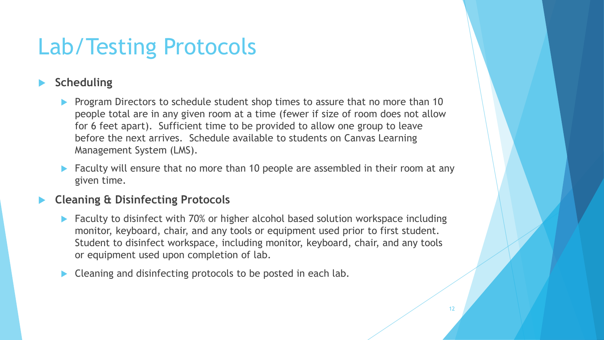### Lab/Testing Protocols

#### **Scheduling**

- Program Directors to schedule student shop times to assure that no more than 10 people total are in any given room at a time (fewer if size of room does not allow for 6 feet apart). Sufficient time to be provided to allow one group to leave before the next arrives. Schedule available to students on Canvas Learning Management System (LMS).
- Faculty will ensure that no more than 10 people are assembled in their room at any given time.

#### **Cleaning & Disinfecting Protocols**

- ▶ Faculty to disinfect with 70% or higher alcohol based solution workspace including monitor, keyboard, chair, and any tools or equipment used prior to first student. Student to disinfect workspace, including monitor, keyboard, chair, and any tools or equipment used upon completion of lab.
- Cleaning and disinfecting protocols to be posted in each lab.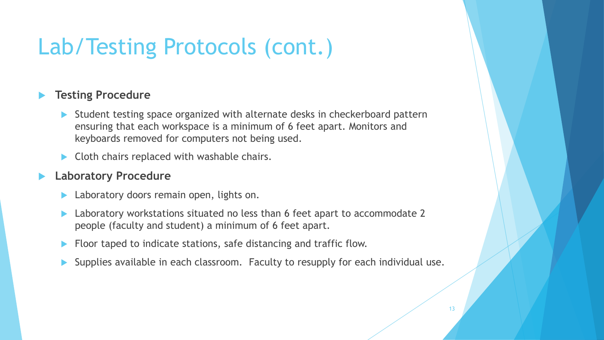### Lab/Testing Protocols (cont.)

#### **Testing Procedure**

- Student testing space organized with alternate desks in checkerboard pattern ensuring that each workspace is a minimum of 6 feet apart. Monitors and keyboards removed for computers not being used.
- $\blacktriangleright$  Cloth chairs replaced with washable chairs.

#### **Laboratory Procedure**

- Laboratory doors remain open, lights on.
- ▶ Laboratory workstations situated no less than 6 feet apart to accommodate 2 people (faculty and student) a minimum of 6 feet apart.
- Floor taped to indicate stations, safe distancing and traffic flow.
- Supplies available in each classroom. Faculty to resupply for each individual use.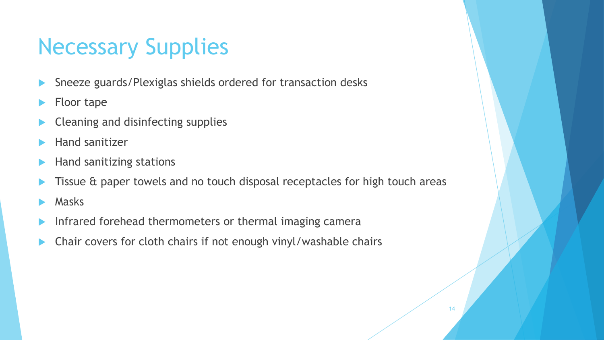# Necessary Supplies

- Sneeze guards/Plexiglas shields ordered for transaction desks
- Floor tape
- Cleaning and disinfecting supplies
- Hand sanitizer
- Hand sanitizing stations
- Tissue & paper towels and no touch disposal receptacles for high touch areas

- Masks
- Infrared forehead thermometers or thermal imaging camera
- Chair covers for cloth chairs if not enough vinyl/washable chairs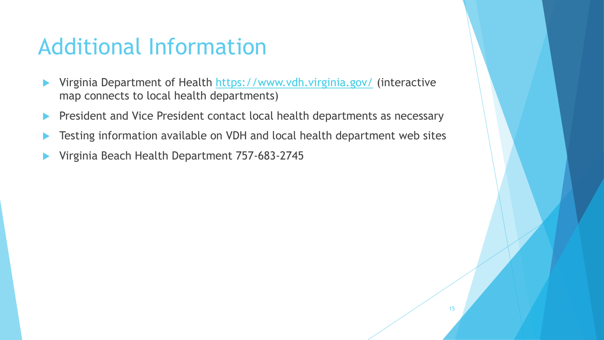### Additional Information

- ▶ Virginia Department of Health <https://www.vdh.virginia.gov/> (interactive map connects to local health departments)
- President and Vice President contact local health departments as necessary
- Testing information available on VDH and local health department web sites
- Virginia Beach Health Department 757-683-2745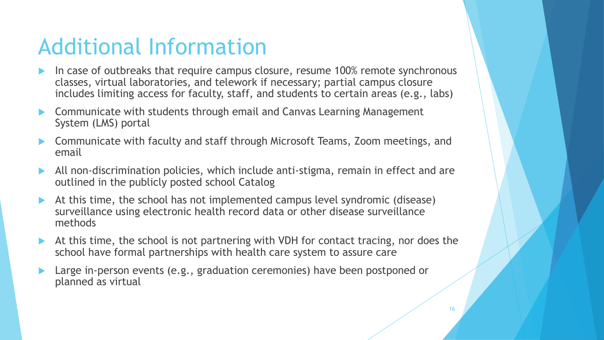### Additional Information

- In case of outbreaks that require campus closure, resume 100% remote synchronous classes, virtual laboratories, and telework if necessary; partial campus closure includes limiting access for faculty, staff, and students to certain areas (e.g., labs)
- Communicate with students through email and Canvas Learning Management System (LMS) portal
- Communicate with faculty and staff through Microsoft Teams, Zoom meetings, and email
- All non-discrimination policies, which include anti-stigma, remain in effect and are outlined in the publicly posted school Catalog
- At this time, the school has not implemented campus level syndromic (disease) surveillance using electronic health record data or other disease surveillance methods
- At this time, the school is not partnering with VDH for contact tracing, nor does the school have formal partnerships with health care system to assure care
- Large in-person events (e.g., graduation ceremonies) have been postponed or planned as virtual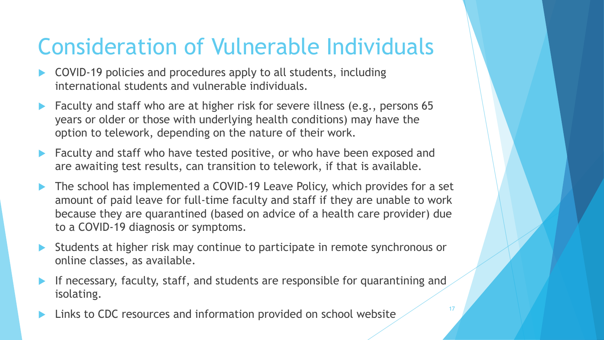### Consideration of Vulnerable Individuals

- COVID-19 policies and procedures apply to all students, including international students and vulnerable individuals.
- **Faculty and staff who are at higher risk for severe illness (e.g., persons 65** years or older or those with underlying health conditions) may have the option to telework, depending on the nature of their work.
- Faculty and staff who have tested positive, or who have been exposed and are awaiting test results, can transition to telework, if that is available.
- The school has implemented a COVID-19 Leave Policy, which provides for a set amount of paid leave for full-time faculty and staff if they are unable to work because they are quarantined (based on advice of a health care provider) due to a COVID-19 diagnosis or symptoms.
- Students at higher risk may continue to participate in remote synchronous or online classes, as available.
- If necessary, faculty, staff, and students are responsible for quarantining and isolating.
- Links to CDC resources and information provided on school website  $\frac{17}{2}$